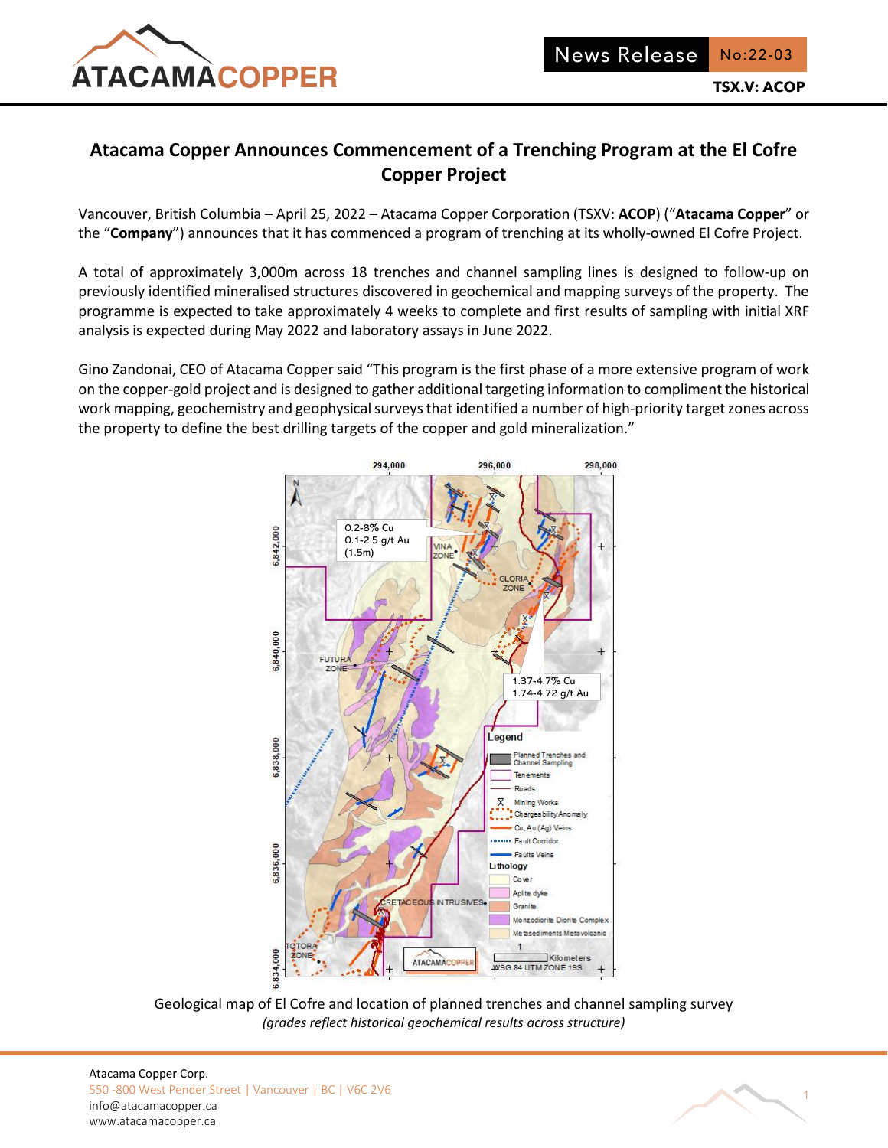

# **Atacama Copper Announces Commencement of a Trenching Program at the El Cofre Copper Project**

Vancouver, British Columbia – April 25, 2022 – Atacama Copper Corporation (TSXV: **ACOP**) ("**Atacama Copper**" or the "**Company**") announces that it has commenced a program of trenching at its wholly-owned El Cofre Project.

A total of approximately 3,000m across 18 trenches and channel sampling lines is designed to follow-up on previously identified mineralised structures discovered in geochemical and mapping surveys of the property. The programme is expected to take approximately 4 weeks to complete and first results of sampling with initial XRF analysis is expected during May 2022 and laboratory assays in June 2022.

Gino Zandonai, CEO of Atacama Copper said "This program is the first phase of a more extensive program of work on the copper-gold project and is designed to gather additional targeting information to compliment the historical work mapping, geochemistry and geophysical surveys that identified a number of high-priority target zones across the property to define the best drilling targets of the copper and gold mineralization."



Geological map of El Cofre and location of planned trenches and channel sampling survey *(grades reflect historical geochemical results across structure)*

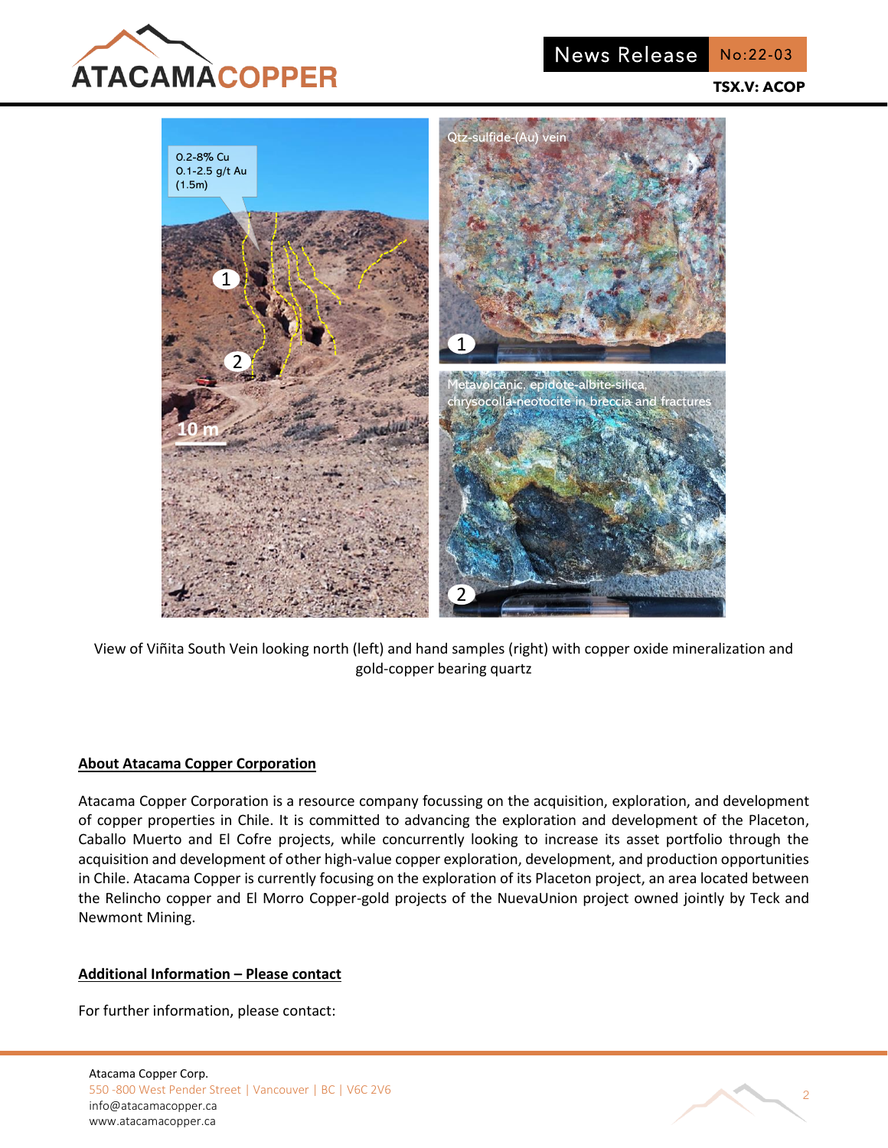

News Release No:22-03

**TSX.V: ACOP**



View of Viñita South Vein looking north (left) and hand samples (right) with copper oxide mineralization and gold-copper bearing quartz

### **About Atacama Copper Corporation**

Atacama Copper Corporation is a resource company focussing on the acquisition, exploration, and development of copper properties in Chile. It is committed to advancing the exploration and development of the Placeton, Caballo Muerto and El Cofre projects, while concurrently looking to increase its asset portfolio through the acquisition and development of other high-value copper exploration, development, and production opportunities in Chile. Atacama Copper is currently focusing on the exploration of its Placeton project, an area located between the Relincho copper and El Morro Copper-gold projects of the NuevaUnion project owned jointly by Teck and Newmont Mining.

## **Additional Information – Please contact**

For further information, please contact:

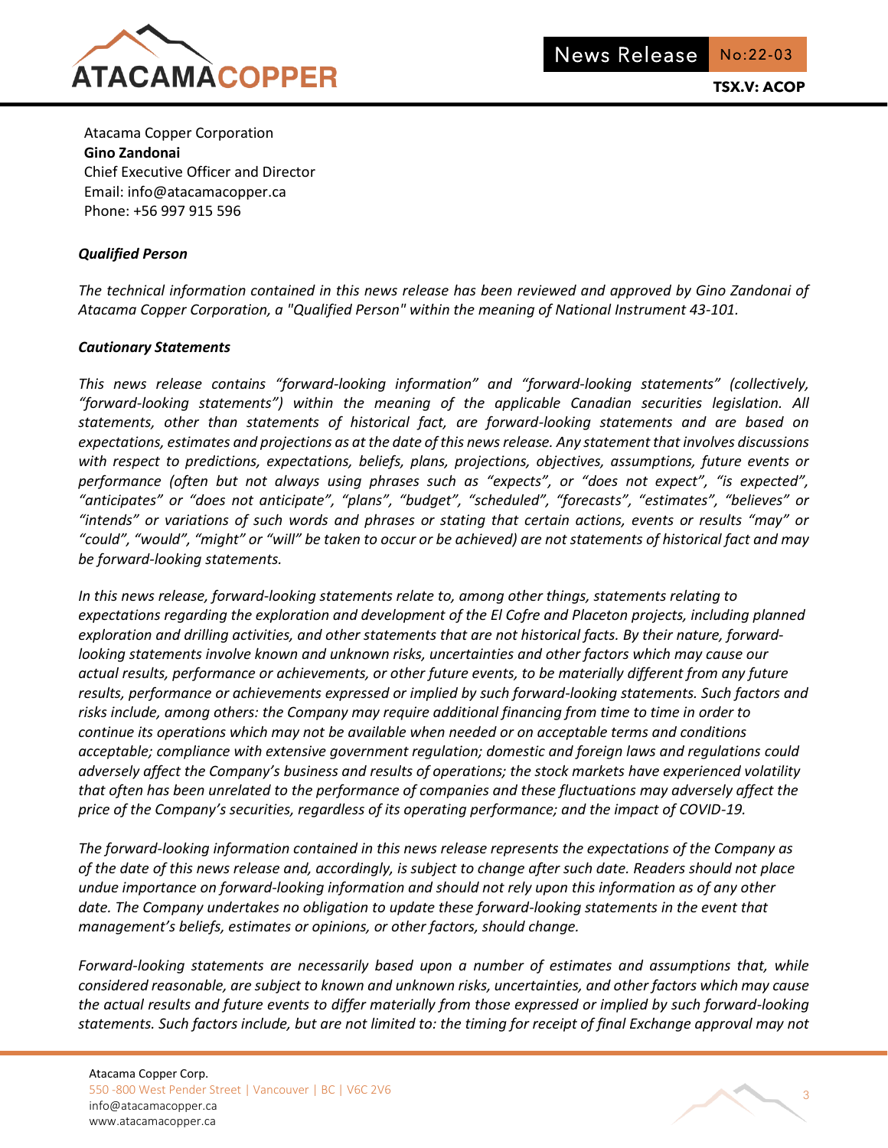

Atacama Copper Corporation **Gino Zandonai** Chief Executive Officer and Director Email: info@atacamacopper.ca Phone: +56 997 915 596

## *Qualified Person*

*The technical information contained in this news release has been reviewed and approved by Gino Zandonai of Atacama Copper Corporation, a "Qualified Person" within the meaning of National Instrument 43-101.*

### *Cautionary Statements*

*This news release contains "forward-looking information" and "forward-looking statements" (collectively, "forward-looking statements") within the meaning of the applicable Canadian securities legislation. All statements, other than statements of historical fact, are forward-looking statements and are based on expectations, estimates and projections as at the date of this news release. Any statement that involves discussions with respect to predictions, expectations, beliefs, plans, projections, objectives, assumptions, future events or performance (often but not always using phrases such as "expects", or "does not expect", "is expected", "anticipates" or "does not anticipate", "plans", "budget", "scheduled", "forecasts", "estimates", "believes" or "intends" or variations of such words and phrases or stating that certain actions, events or results "may" or "could", "would", "might" or "will" be taken to occur or be achieved) are not statements of historical fact and may be forward-looking statements.* 

*In this news release, forward-looking statements relate to, among other things, statements relating to expectations regarding the exploration and development of the El Cofre and Placeton projects, including planned exploration and drilling activities, and other statements that are not historical facts. By their nature, forwardlooking statements involve known and unknown risks, uncertainties and other factors which may cause our actual results, performance or achievements, or other future events, to be materially different from any future results, performance or achievements expressed or implied by such forward-looking statements. Such factors and risks include, among others: the Company may require additional financing from time to time in order to continue its operations which may not be available when needed or on acceptable terms and conditions acceptable; compliance with extensive government regulation; domestic and foreign laws and regulations could adversely affect the Company's business and results of operations; the stock markets have experienced volatility that often has been unrelated to the performance of companies and these fluctuations may adversely affect the price of the Company's securities, regardless of its operating performance; and the impact of COVID-19.*

*The forward-looking information contained in this news release represents the expectations of the Company as of the date of this news release and, accordingly, is subject to change after such date. Readers should not place undue importance on forward-looking information and should not rely upon this information as of any other date. The Company undertakes no obligation to update these forward-looking statements in the event that management's beliefs, estimates or opinions, or other factors, should change.*

*Forward-looking statements are necessarily based upon a number of estimates and assumptions that, while considered reasonable, are subject to known and unknown risks, uncertainties, and other factors which may cause the actual results and future events to differ materially from those expressed or implied by such forward-looking statements. Such factors include, but are not limited to: the timing for receipt of final Exchange approval may not*